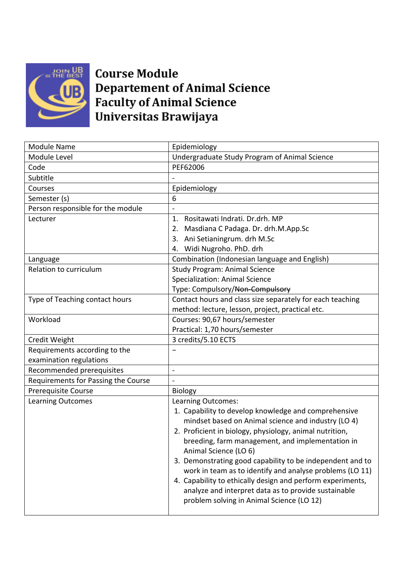

**Course Module Departement of Animal Science Faculty of Animal Science** Universitas Brawijaya

| <b>Module Name</b>                  | Epidemiology                                               |
|-------------------------------------|------------------------------------------------------------|
| Module Level                        | Undergraduate Study Program of Animal Science              |
| Code                                | PEF62006                                                   |
| Subtitle                            |                                                            |
| Courses                             | Epidemiology                                               |
| Semester (s)                        | 6                                                          |
| Person responsible for the module   |                                                            |
| Lecturer                            | Rositawati Indrati. Dr.drh. MP<br>1.                       |
|                                     | Masdiana C Padaga. Dr. drh.M.App.Sc<br>2.                  |
|                                     | 3. Ani Setianingrum. drh M.Sc                              |
|                                     | 4. Widi Nugroho. PhD. drh                                  |
| Language                            | Combination (Indonesian language and English)              |
| Relation to curriculum              | <b>Study Program: Animal Science</b>                       |
|                                     | <b>Specialization: Animal Science</b>                      |
|                                     | Type: Compulsory/Non-Compulsory                            |
| Type of Teaching contact hours      | Contact hours and class size separately for each teaching  |
|                                     | method: lecture, lesson, project, practical etc.           |
| Workload                            | Courses: 90,67 hours/semester                              |
|                                     | Practical: 1,70 hours/semester                             |
| Credit Weight                       | 3 credits/5.10 ECTS                                        |
| Requirements according to the       |                                                            |
| examination regulations             |                                                            |
| Recommended prerequisites           | $\overline{\phantom{0}}$                                   |
| Requirements for Passing the Course |                                                            |
| <b>Prerequisite Course</b>          | <b>Biology</b>                                             |
| <b>Learning Outcomes</b>            | Learning Outcomes:                                         |
|                                     | 1. Capability to develop knowledge and comprehensive       |
|                                     | mindset based on Animal science and industry (LO 4)        |
|                                     | 2. Proficient in biology, physiology, animal nutrition,    |
|                                     | breeding, farm management, and implementation in           |
|                                     | Animal Science (LO 6)                                      |
|                                     | 3. Demonstrating good capability to be independent and to  |
|                                     | work in team as to identify and analyse problems (LO 11)   |
|                                     | 4. Capability to ethically design and perform experiments, |
|                                     | analyze and interpret data as to provide sustainable       |
|                                     | problem solving in Animal Science (LO 12)                  |
|                                     |                                                            |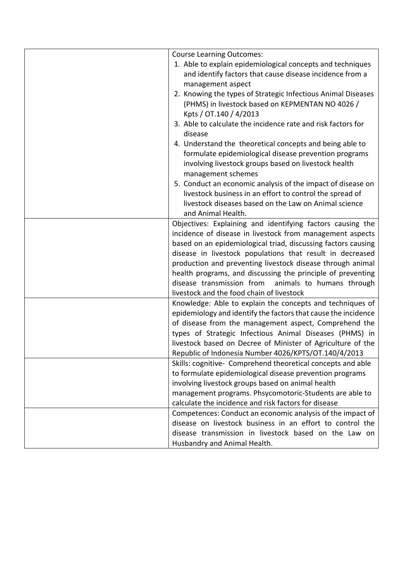| <b>Course Learning Outcomes:</b>                               |
|----------------------------------------------------------------|
| 1. Able to explain epidemiological concepts and techniques     |
| and identify factors that cause disease incidence from a       |
| management aspect                                              |
| 2. Knowing the types of Strategic Infectious Animal Diseases   |
| (PHMS) in livestock based on KEPMENTAN NO 4026 /               |
| Kpts / OT.140 / 4/2013                                         |
| 3. Able to calculate the incidence rate and risk factors for   |
| disease                                                        |
| 4. Understand the theoretical concepts and being able to       |
| formulate epidemiological disease prevention programs          |
| involving livestock groups based on livestock health           |
| management schemes                                             |
| 5. Conduct an economic analysis of the impact of disease on    |
| livestock business in an effort to control the spread of       |
| livestock diseases based on the Law on Animal science          |
| and Animal Health.                                             |
| Objectives: Explaining and identifying factors causing the     |
| incidence of disease in livestock from management aspects      |
| based on an epidemiological triad, discussing factors causing  |
| disease in livestock populations that result in decreased      |
| production and preventing livestock disease through animal     |
| health programs, and discussing the principle of preventing    |
| disease transmission from<br>animals to humans through         |
| livestock and the food chain of livestock                      |
| Knowledge: Able to explain the concepts and techniques of      |
| epidemiology and identify the factors that cause the incidence |
| of disease from the management aspect, Comprehend the          |
| types of Strategic Infectious Animal Diseases (PHMS) in        |
| livestock based on Decree of Minister of Agriculture of the    |
| Republic of Indonesia Number 4026/KPTS/OT.140/4/2013           |
| Skills: cognitive- Comprehend theoretical concepts and able    |
| to formulate epidemiological disease prevention programs       |
| involving livestock groups based on animal health              |
| management programs. Phsycomotoric-Students are able to        |
| calculate the incidence and risk factors for disease           |
| Competences: Conduct an economic analysis of the impact of     |
| disease on livestock business in an effort to control the      |
| disease transmission in livestock based on the Law on          |
| Husbandry and Animal Health.                                   |